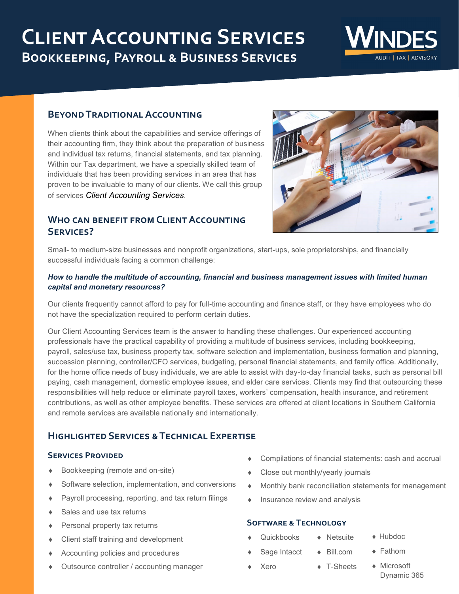# **Client Accounting Services Bookkeeping, Payroll & Business Services**



### **Beyond Traditional Accounting**

When clients think about the capabilities and service offerings of their accounting firm, they think about the preparation of business and individual tax returns, financial statements, and tax planning. Within our Tax department, we have a specially skilled team of individuals that has been providing services in an area that has proven to be invaluable to many of our clients. We call this group of services *Client Accounting Services*.

## **Who can benefit from Client Accounting Services?**

Small- to medium-size businesses and nonprofit organizations, start-ups, sole proprietorships, and financially successful individuals facing a common challenge:

#### *How to handle the multitude of accounting, financial and business management issues with limited human capital and monetary resources?*

Our clients frequently cannot afford to pay for full-time accounting and finance staff, or they have employees who do not have the specialization required to perform certain duties.

Our Client Accounting Services team is the answer to handling these challenges. Our experienced accounting professionals have the practical capability of providing a multitude of business services, including bookkeeping, payroll, sales/use tax, business property tax, software selection and implementation, business formation and planning, succession planning, controller/CFO services, budgeting, personal financial statements, and family office. Additionally, for the home office needs of busy individuals, we are able to assist with day-to-day financial tasks, such as personal bill paying, cash management, domestic employee issues, and elder care services. Clients may find that outsourcing these responsibilities will help reduce or eliminate payroll taxes, workers' compensation, health insurance, and retirement contributions, as well as other employee benefits. These services are offered at client locations in Southern California and remote services are available nationally and internationally.

# **Highlighted Services & Technical Expertise**

#### **SERVICES PROVIDED**

- Bookkeeping (remote and on-site)
- Software selection, implementation, and conversions
- Payroll processing, reporting, and tax return filings
- Sales and use tax returns
- Personal property tax returns
- Client staff training and development
- Accounting policies and procedures
- Outsource controller / accounting manager
- Compilations of financial statements: cash and accrual
- ◆ Close out monthly/yearly journals
- Monthly bank reconciliation statements for management
- $\bullet$  Insurance review and analysis

#### **Software & Technology**

- Quickbooks Sage Intacct **◆** Netsuite
	- Bill.com

◆ T-Sheets

- Fathom
- Xero

◆ Microsoft

◆ Hubdoc

Dynamic 365